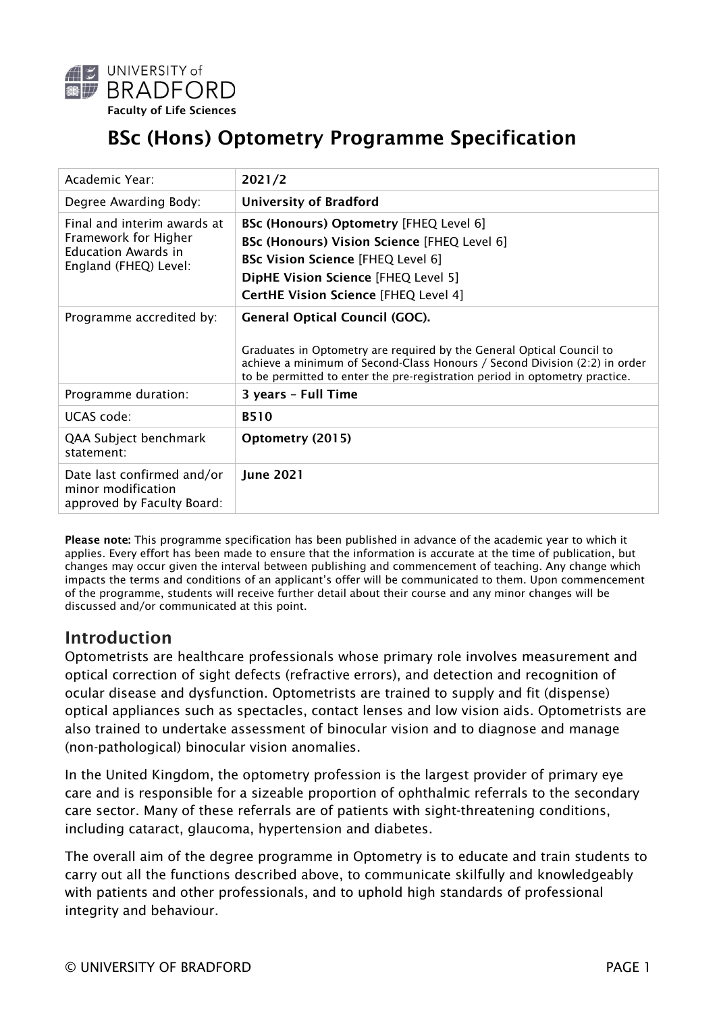

# BSc (Hons) Optometry Programme Specification

| Academic Year:                                                                                             | 2021/2                                                                                                                                                                                                                                                                      |
|------------------------------------------------------------------------------------------------------------|-----------------------------------------------------------------------------------------------------------------------------------------------------------------------------------------------------------------------------------------------------------------------------|
| Degree Awarding Body:                                                                                      | <b>University of Bradford</b>                                                                                                                                                                                                                                               |
| Final and interim awards at<br>Framework for Higher<br><b>Education Awards in</b><br>England (FHEQ) Level: | <b>BSc (Honours) Optometry [FHEQ Level 6]</b><br><b>BSc (Honours) Vision Science [FHEQ Level 6]</b><br><b>BSc Vision Science [FHEQ Level 6]</b><br>DipHE Vision Science [FHEQ Level 5]<br><b>CertHE Vision Science [FHEQ Level 4]</b>                                       |
| Programme accredited by:                                                                                   | <b>General Optical Council (GOC).</b><br>Graduates in Optometry are required by the General Optical Council to<br>achieve a minimum of Second-Class Honours / Second Division (2:2) in order<br>to be permitted to enter the pre-registration period in optometry practice. |
| Programme duration:                                                                                        | 3 years - Full Time                                                                                                                                                                                                                                                         |
| UCAS code:                                                                                                 | <b>B510</b>                                                                                                                                                                                                                                                                 |
| QAA Subject benchmark<br>statement:                                                                        | Optometry (2015)                                                                                                                                                                                                                                                            |
| Date last confirmed and/or<br>minor modification<br>approved by Faculty Board:                             | <b>June 2021</b>                                                                                                                                                                                                                                                            |

Please note: This programme specification has been published in advance of the academic year to which it applies. Every effort has been made to ensure that the information is accurate at the time of publication, but changes may occur given the interval between publishing and commencement of teaching. Any change which impacts the terms and conditions of an applicant's offer will be communicated to them. Upon commencement of the programme, students will receive further detail about their course and any minor changes will be discussed and/or communicated at this point.

### Introduction

Optometrists are healthcare professionals whose primary role involves measurement and optical correction of sight defects (refractive errors), and detection and recognition of ocular disease and dysfunction. Optometrists are trained to supply and fit (dispense) optical appliances such as spectacles, contact lenses and low vision aids. Optometrists are also trained to undertake assessment of binocular vision and to diagnose and manage (non-pathological) binocular vision anomalies.

In the United Kingdom, the optometry profession is the largest provider of primary eye care and is responsible for a sizeable proportion of ophthalmic referrals to the secondary care sector. Many of these referrals are of patients with sight-threatening conditions, including cataract, glaucoma, hypertension and diabetes.

The overall aim of the degree programme in Optometry is to educate and train students to carry out all the functions described above, to communicate skilfully and knowledgeably with patients and other professionals, and to uphold high standards of professional integrity and behaviour.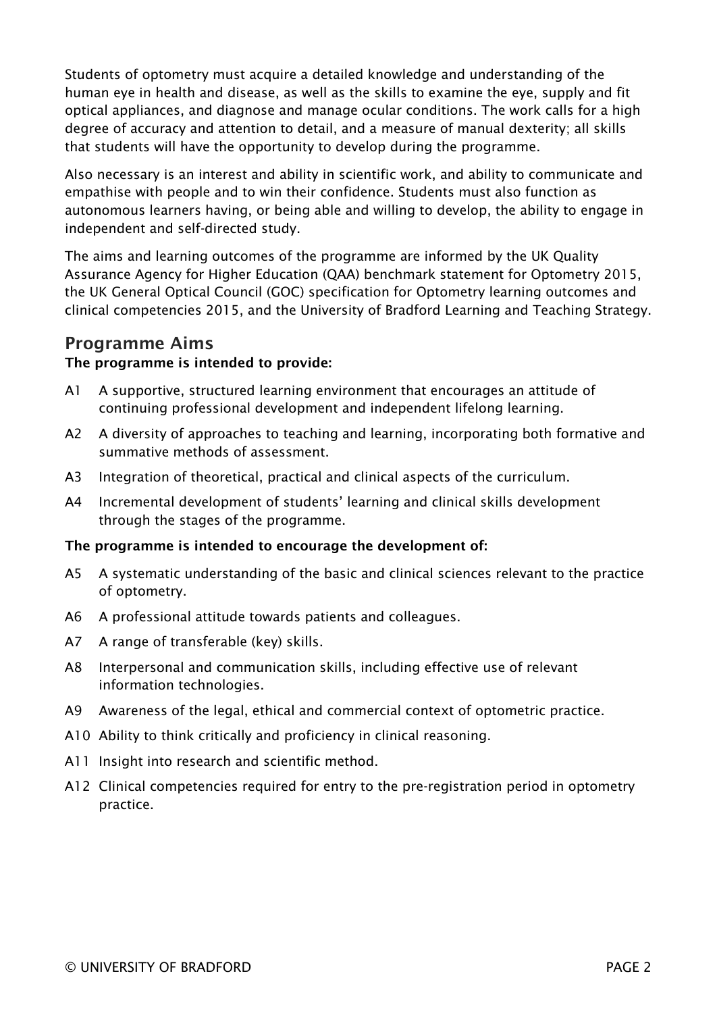Students of optometry must acquire a detailed knowledge and understanding of the human eye in health and disease, as well as the skills to examine the eye, supply and fit optical appliances, and diagnose and manage ocular conditions. The work calls for a high degree of accuracy and attention to detail, and a measure of manual dexterity; all skills that students will have the opportunity to develop during the programme.

Also necessary is an interest and ability in scientific work, and ability to communicate and empathise with people and to win their confidence. Students must also function as autonomous learners having, or being able and willing to develop, the ability to engage in independent and self-directed study.

The aims and learning outcomes of the programme are informed by the UK Quality Assurance Agency for Higher Education (QAA) benchmark statement for Optometry 2015, the UK General Optical Council (GOC) specification for Optometry learning outcomes and clinical competencies 2015, and the University of Bradford Learning and Teaching Strategy.

### Programme Aims

#### The programme is intended to provide:

- A1 A supportive, structured learning environment that encourages an attitude of continuing professional development and independent lifelong learning.
- A2 A diversity of approaches to teaching and learning, incorporating both formative and summative methods of assessment.
- A3 Integration of theoretical, practical and clinical aspects of the curriculum.
- A4 Incremental development of students' learning and clinical skills development through the stages of the programme.

#### The programme is intended to encourage the development of:

- A5 A systematic understanding of the basic and clinical sciences relevant to the practice of optometry.
- A6 A professional attitude towards patients and colleagues.
- A7 A range of transferable (key) skills.
- A8 Interpersonal and communication skills, including effective use of relevant information technologies.
- A9 Awareness of the legal, ethical and commercial context of optometric practice.
- A10 Ability to think critically and proficiency in clinical reasoning.
- A11 Insight into research and scientific method.
- A12 Clinical competencies required for entry to the pre-registration period in optometry practice.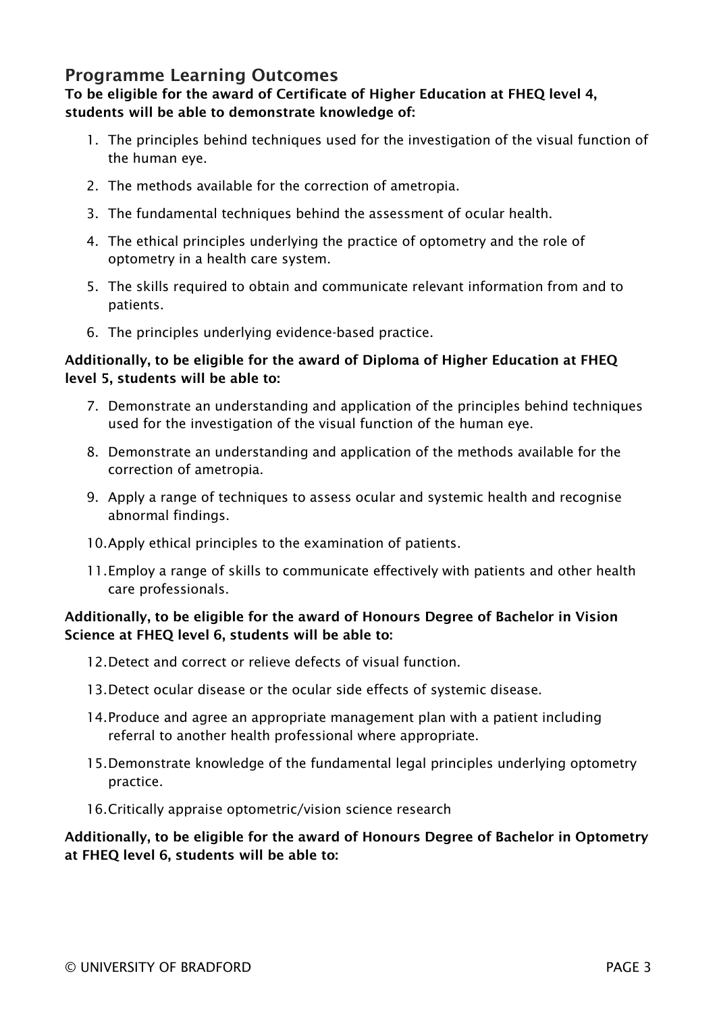### Programme Learning Outcomes

#### To be eligible for the award of Certificate of Higher Education at FHEQ level 4, students will be able to demonstrate knowledge of:

- 1. The principles behind techniques used for the investigation of the visual function of the human eye.
- 2. The methods available for the correction of ametropia.
- 3. The fundamental techniques behind the assessment of ocular health.
- 4. The ethical principles underlying the practice of optometry and the role of optometry in a health care system.
- 5. The skills required to obtain and communicate relevant information from and to patients.
- 6. The principles underlying evidence-based practice.

#### Additionally, to be eligible for the award of Diploma of Higher Education at FHEQ level 5, students will be able to:

- 7. Demonstrate an understanding and application of the principles behind techniques used for the investigation of the visual function of the human eye.
- 8. Demonstrate an understanding and application of the methods available for the correction of ametropia.
- 9. Apply a range of techniques to assess ocular and systemic health and recognise abnormal findings.
- 10.Apply ethical principles to the examination of patients.
- 11.Employ a range of skills to communicate effectively with patients and other health care professionals.

#### Additionally, to be eligible for the award of Honours Degree of Bachelor in Vision Science at FHEQ level 6, students will be able to:

- 12.Detect and correct or relieve defects of visual function.
- 13.Detect ocular disease or the ocular side effects of systemic disease.
- 14.Produce and agree an appropriate management plan with a patient including referral to another health professional where appropriate.
- 15.Demonstrate knowledge of the fundamental legal principles underlying optometry practice.
- 16.Critically appraise optometric/vision science research

Additionally, to be eligible for the award of Honours Degree of Bachelor in Optometry at FHEQ level 6, students will be able to: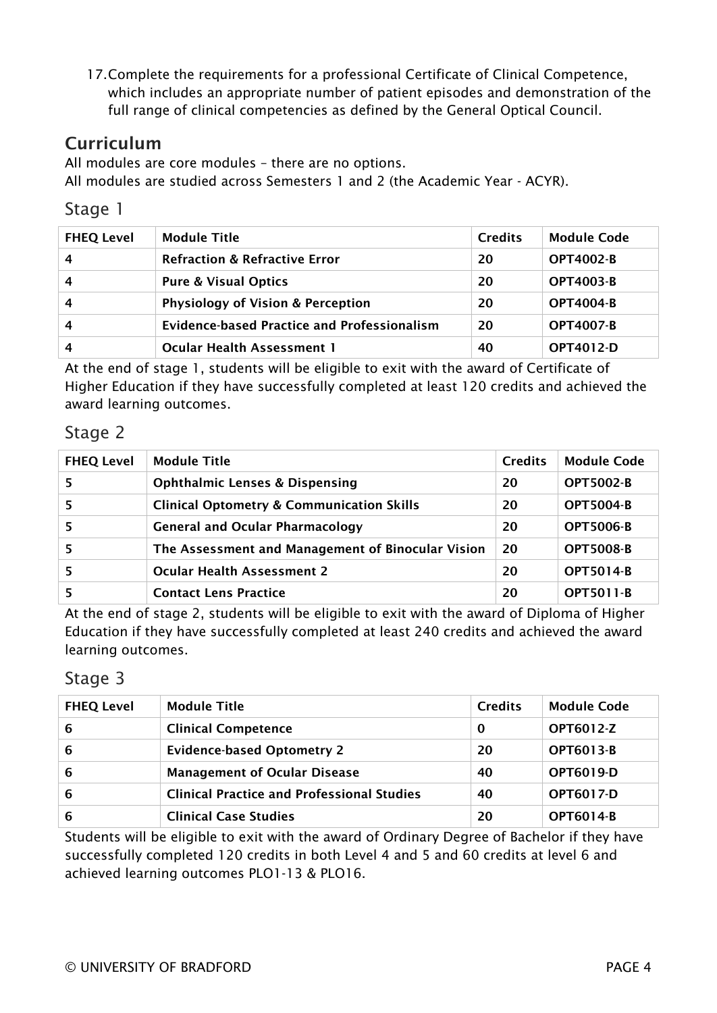17.Complete the requirements for a professional Certificate of Clinical Competence, which includes an appropriate number of patient episodes and demonstration of the full range of clinical competencies as defined by the General Optical Council.

# **Curriculum**

All modules are core modules – there are no options. All modules are studied across Semesters 1 and 2 (the Academic Year - ACYR).

### Stage 1

| <b>FHEQ Level</b> | <b>Module Title</b>                                | <b>Credits</b> | <b>Module Code</b> |
|-------------------|----------------------------------------------------|----------------|--------------------|
|                   | <b>Refraction &amp; Refractive Error</b>           | 20             | <b>OPT4002-B</b>   |
| 4                 | <b>Pure &amp; Visual Optics</b>                    | 20             | <b>OPT4003-B</b>   |
| 4                 | <b>Physiology of Vision &amp; Perception</b>       | 20             | <b>OPT4004-B</b>   |
| 4                 | <b>Evidence-based Practice and Professionalism</b> | 20             | <b>OPT4007-B</b>   |
|                   | <b>Ocular Health Assessment 1</b>                  | 40             | OPT4012-D          |

At the end of stage 1, students will be eligible to exit with the award of Certificate of Higher Education if they have successfully completed at least 120 credits and achieved the award learning outcomes.

### Stage 2

| <b>FHEQ Level</b> | <b>Module Title</b>                                  | <b>Credits</b> | <b>Module Code</b> |
|-------------------|------------------------------------------------------|----------------|--------------------|
|                   | <b>Ophthalmic Lenses &amp; Dispensing</b>            | 20             | <b>OPT5002-B</b>   |
|                   | <b>Clinical Optometry &amp; Communication Skills</b> | 20             | <b>OPT5004-B</b>   |
|                   | <b>General and Ocular Pharmacology</b>               | 20             | <b>OPT5006-B</b>   |
|                   | The Assessment and Management of Binocular Vision    | 20             | <b>OPT5008-B</b>   |
|                   | <b>Ocular Health Assessment 2</b>                    | 20             | <b>OPT5014-B</b>   |
|                   | <b>Contact Lens Practice</b>                         | 20             | <b>OPT5011-B</b>   |

At the end of stage 2, students will be eligible to exit with the award of Diploma of Higher Education if they have successfully completed at least 240 credits and achieved the award learning outcomes.

### Stage 3

| <b>FHEQ Level</b> | <b>Module Title</b>                               | <b>Credits</b> | <b>Module Code</b> |
|-------------------|---------------------------------------------------|----------------|--------------------|
| 6                 | <b>Clinical Competence</b>                        | 0              | <b>OPT6012-Z</b>   |
| 6                 | <b>Evidence-based Optometry 2</b>                 | 20             | <b>OPT6013-B</b>   |
| 6                 | <b>Management of Ocular Disease</b>               | 40             | <b>OPT6019-D</b>   |
| 6                 | <b>Clinical Practice and Professional Studies</b> | 40             | <b>OPT6017-D</b>   |
| 6                 | <b>Clinical Case Studies</b>                      | 20             | <b>OPT6014-B</b>   |

Students will be eligible to exit with the award of Ordinary Degree of Bachelor if they have successfully completed 120 credits in both Level 4 and 5 and 60 credits at level 6 and achieved learning outcomes PLO1-13 & PLO16.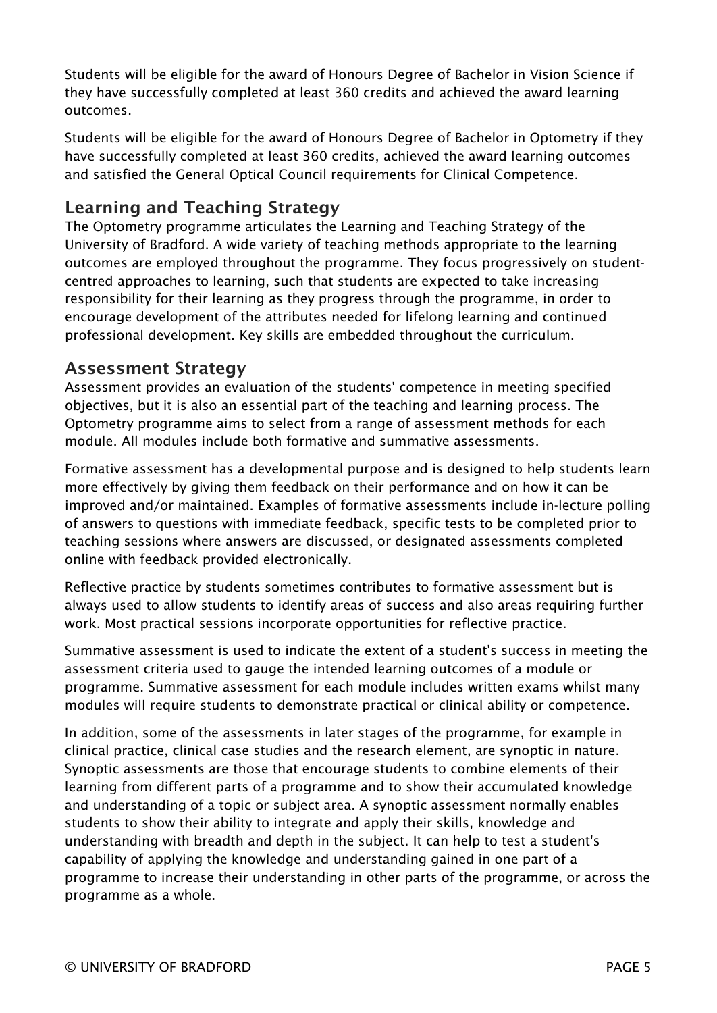Students will be eligible for the award of Honours Degree of Bachelor in Vision Science if they have successfully completed at least 360 credits and achieved the award learning outcomes.

Students will be eligible for the award of Honours Degree of Bachelor in Optometry if they have successfully completed at least 360 credits, achieved the award learning outcomes and satisfied the General Optical Council requirements for Clinical Competence.

# Learning and Teaching Strategy

The Optometry programme articulates the Learning and Teaching Strategy of the University of Bradford. A wide variety of teaching methods appropriate to the learning outcomes are employed throughout the programme. They focus progressively on studentcentred approaches to learning, such that students are expected to take increasing responsibility for their learning as they progress through the programme, in order to encourage development of the attributes needed for lifelong learning and continued professional development. Key skills are embedded throughout the curriculum.

### Assessment Strategy

Assessment provides an evaluation of the students' competence in meeting specified objectives, but it is also an essential part of the teaching and learning process. The Optometry programme aims to select from a range of assessment methods for each module. All modules include both formative and summative assessments.

Formative assessment has a developmental purpose and is designed to help students learn more effectively by giving them feedback on their performance and on how it can be improved and/or maintained. Examples of formative assessments include in-lecture polling of answers to questions with immediate feedback, specific tests to be completed prior to teaching sessions where answers are discussed, or designated assessments completed online with feedback provided electronically.

Reflective practice by students sometimes contributes to formative assessment but is always used to allow students to identify areas of success and also areas requiring further work. Most practical sessions incorporate opportunities for reflective practice.

Summative assessment is used to indicate the extent of a student's success in meeting the assessment criteria used to gauge the intended learning outcomes of a module or programme. Summative assessment for each module includes written exams whilst many modules will require students to demonstrate practical or clinical ability or competence.

In addition, some of the assessments in later stages of the programme, for example in clinical practice, clinical case studies and the research element, are synoptic in nature. Synoptic assessments are those that encourage students to combine elements of their learning from different parts of a programme and to show their accumulated knowledge and understanding of a topic or subject area. A synoptic assessment normally enables students to show their ability to integrate and apply their skills, knowledge and understanding with breadth and depth in the subject. It can help to test a student's capability of applying the knowledge and understanding gained in one part of a programme to increase their understanding in other parts of the programme, or across the programme as a whole.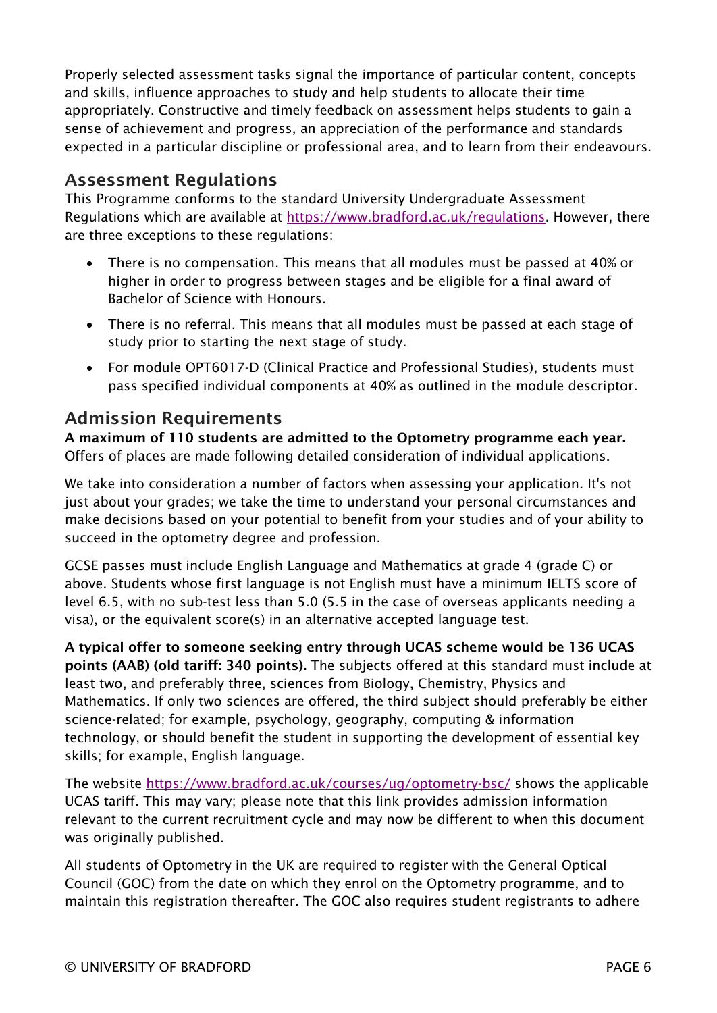Properly selected assessment tasks signal the importance of particular content, concepts and skills, influence approaches to study and help students to allocate their time appropriately. Constructive and timely feedback on assessment helps students to gain a sense of achievement and progress, an appreciation of the performance and standards expected in a particular discipline or professional area, and to learn from their endeavours.

# Assessment Regulations

This Programme conforms to the standard University Undergraduate Assessment Regulations which are available at [https://www.bradford.ac.uk/regulations.](https://www.bradford.ac.uk/regulations) However, there are three exceptions to these regulations:

- There is no compensation. This means that all modules must be passed at 40% or higher in order to progress between stages and be eligible for a final award of Bachelor of Science with Honours.
- There is no referral. This means that all modules must be passed at each stage of study prior to starting the next stage of study.
- For module OPT6017-D (Clinical Practice and Professional Studies), students must pass specified individual components at 40% as outlined in the module descriptor.

# Admission Requirements

A maximum of 110 students are admitted to the Optometry programme each year. Offers of places are made following detailed consideration of individual applications.

We take into consideration a number of factors when assessing your application. It's not just about your grades; we take the time to understand your personal circumstances and make decisions based on your potential to benefit from your studies and of your ability to succeed in the optometry degree and profession.

GCSE passes must include English Language and Mathematics at grade 4 (grade C) or above. Students whose first language is not English must have a minimum IELTS score of level 6.5, with no sub-test less than 5.0 (5.5 in the case of overseas applicants needing a visa), or the equivalent score(s) in an alternative accepted language test.

A typical offer to someone seeking entry through UCAS scheme would be 136 UCAS points (AAB) (old tariff: 340 points). The subjects offered at this standard must include at least two, and preferably three, sciences from Biology, Chemistry, Physics and Mathematics. If only two sciences are offered, the third subject should preferably be either science-related; for example, psychology, geography, computing & information technology, or should benefit the student in supporting the development of essential key skills; for example, English language.

The website <https://www.bradford.ac.uk/courses/ug/optometry-bsc/> shows the applicable UCAS tariff. This may vary; please note that this link provides admission information relevant to the current recruitment cycle and may now be different to when this document was originally published.

All students of Optometry in the UK are required to register with the General Optical Council (GOC) from the date on which they enrol on the Optometry programme, and to maintain this registration thereafter. The GOC also requires student registrants to adhere